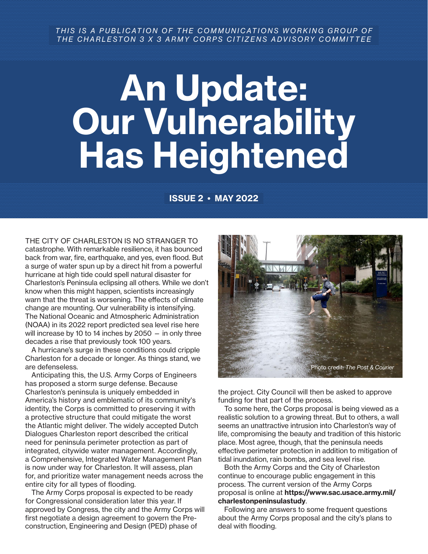## *THIS IS A PUBLICATION OF THE COMMUNICATIONS WORKING GROUP OF THE CHARLESTON 3 X 3 ARMY CORPS CITIZENS ADVISORY COMMITTEE*

# An Update: Our Vulnerability Has Heightened

# ISSUE 2 • MAY 2022

THE CITY OF CHARLESTON IS NO STRANGER TO catastrophe. With remarkable resilience, it has bounced back from war, fire, earthquake, and yes, even flood. But a surge of water spun up by a direct hit from a powerful hurricane at high tide could spell natural disaster for Charleston's Peninsula eclipsing all others. While we don't know when this might happen, scientists increasingly warn that the threat is worsening. The effects of climate change are mounting. Our vulnerability is intensifying. The National Oceanic and Atmospheric Administration (NOAA) in its 2022 report predicted sea level rise here will increase by 10 to 14 inches by 2050 — in only three decades a rise that previously took 100 years.

A hurricane's surge in these conditions could cripple Charleston for a decade or longer. As things stand, we are defenseless.

Anticipating this, the U.S. Army Corps of Engineers has proposed a storm surge defense. Because Charleston's peninsula is uniquely embedded in America's history and emblematic of its community's identity, the Corps is committed to preserving it with a protective structure that could mitigate the worst the Atlantic might deliver. The widely accepted Dutch Dialogues Charleston report described the critical need for peninsula perimeter protection as part of integrated, citywide water management. Accordingly, a Comprehensive, Integrated Water Management Plan is now under way for Charleston. It will assess, plan for, and prioritize water management needs across the entire city for all types of flooding.

The Army Corps proposal is expected to be ready for Congressional consideration later this year. If approved by Congress, the city and the Army Corps will first negotiate a design agreement to govern the Preconstruction, Engineering and Design (PED) phase of



the project. City Council will then be asked to approve funding for that part of the process.

To some here, the Corps proposal is being viewed as a realistic solution to a growing threat. But to others, a wall seems an unattractive intrusion into Charleston's way of life, compromising the beauty and tradition of this historic place. Most agree, though, that the peninsula needs effective perimeter protection in addition to mitigation of tidal inundation, rain bombs, and sea level rise.

Both the Army Corps and the City of Charleston continue to encourage public engagement in this process. The current version of the Army Corps proposal is online at https://www.sac.usace.army.mil/ charlestonpeninsulastudy.

Following are answers to some frequent questions about the Army Corps proposal and the city's plans to deal with flooding.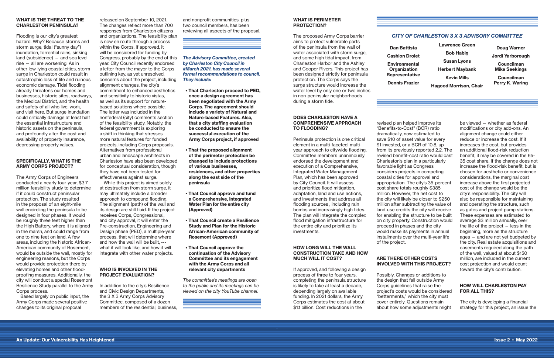#### WHAT IS THE THREAT TO THE CHARLESTON PENINSULA?

Flooding is our city's greatest hazard. Why? Because storms and storm surge, tidal ("sunny day") inundation, torrential rains, sinking land (subsidence) — and sea level rise — all are worsening. As in other low-lying coastal cities, storm surge in Charleston could result in catastrophic loss of life and ruinous economic damage. Tidal flooding already threatens our homes and businesses, historic sites, roadways, the Medical District, and the health and safety of all who live, work, and visit here. But surge inundation could critically damage at least half the essential infrastructure and historic assets on the peninsula, and profoundly alter the cost and availability of property insurance, depressing property values.

#### SPECIFICALLY, WHAT IS THE ARMY CORPS PROJECT?

The Army Corps of Engineers conducted a nearly four-year, \$3.7 million feasibility study to determine if it could construct peninsular protection. The study resulted in the proposal of an eight-mile wall encircling the peninsula to be designed in four phases. It would be roughly three feet higher than the High Battery, where it is aligned in the marsh, and could range from one to nine feet on land. A few areas, including the historic African-American community of Rosemont, would be outside the wall, mostly for engineering reasons, but the Corps would provide protection there by elevating homes and other floodproofing measures. Additionally, the city will conduct a special Rosemont Resilience Study parallel to the Army Corps process.

Based largely on public input, the Army Corps made several positive changes to its original proposal

and nonprofit communities, plus two council members, has been reviewing all aspects of the proposal.

released on September 10, 2021. The changes reflect more than 700 responses from Charleston citizens and organizations. The feasibility plan is now en route through a process within the Corps. If approved, it will be considered for funding by Congress, probably by the end of this year. City Council recently endorsed a letter from the mayor to the Corps outlining key, as yet unresolved, concerns about the project, including alignment changes, the city's commitment to enhanced aesthetics and sensitivity to historic vistas, as well as its support for naturebased solutions where possible. The letter was included in the nonfederal (city) comments section of the feasibility study. Notably, the federal government is exploring a shift in thinking that stresses more natural features for funded projects, including Corps proposals. Alternatives from professional urban and landscape architects in Charleston have also been developed for conceptual consideration, though they have not been tested for effectiveness against surge.

While this project is aimed solely at destruction from storm surge, it may ultimately include a broader approach to compound flooding. The alignment (path) of the wall and its design are still fluid. If the project receives Corps, Congressional, and city approval, it will enter the Pre-construction, Engineering and Design phase (PED), a multiple-year process, that will determine where and how the wall will be built, -- what it will look like, and how it will integrate with other water projects.

## WHO IS INVOLVED IN THE PROJECT EVALUATION?

In addition to the city's Resilience and Civic Design Departments, the 3 X 3 Army Corps Advisory Committee, composed of a dozen members of the residential, business,

- That Charleston proceed to PED, once a design agreement has been negotiated with the Army Corps. The agreement should include a variety of Natural and Nature-based Features. Also, that a city staffing evaluation be conducted to ensure the successful execution of the Army Corps project, if approved
- That the proposed alignment of the perimeter protection be changed to include protections of various businesses, residences, and other properties along the east side of the peninsula
- That Council approve and fund a Comprehensive, Integrated Water Plan for the entire city (Approved)
- That Council create a Resilience Study and Plan for the Historic African-American community of Rosemont (Approved)
- That Council approve the continuation of the Advisory Committee and its engagement with the Army Corps and all relevant city departments

#### *The Advisory Committee, created by Charleston City Council in #March 2021, has made several formal recommendations to council. They include:*

*The committee's meetings are open to the public and its meetings can be viewed on the city YouTube channel.*

#### WHAT IS PERIMETER PROTECTION?

The proposed Army Corps barrier aims to protect vulnerable parts of the peninsula from the wall of water associated with storm surge, and some high tidal impact, from Charleston Harbor and the Ashley and Cooper Rivers. This project has been designed strictly for peninsula protection. The Corps says the surge structure would increase the water level by only one or two inches in non-peninsular neighborhoods during a storm tide.

#### DOES CHARLESTON HAVE A COMPREHENSIVE APPROACH TO FLOODING?

Peninsula protection is one critical element in a multi-faceted, multiyear approach to citywide flooding. Committee members unanimously endorsed the development and execution of a Comprehensive, Integrated Water Management Plan, which has been approved by City Council. It will assess and prioritize flood mitigation, adaptation, land and use actions, and investments that address all flooding sources , including rain bombs and increasingly high tides. The plan will integrate the complex flood mitigation infrastructure for the entire city and prioritize its investments.

#### HOW LONG WILL THE WALL CONSTRUCTION TAKE AND HOW MUCH WILL IT COST?

If approved, and following a design process of three to four years, completing the peninsula structure is likely to take at least a decade, depending largely on available funding. In 2021 dollars, the Army Corps estimates the cost at about \$1.1 billion. Cost reductions in the

revised plan helped improve its "Benefits-to-Cost" (BCR) ratio dramatically, now estimated to save \$10 of asset value for every \$1 invested, or a BCR of 10.8, up from its previously reported 2.2. The revised benefit-cost ratio would cast Charleston's plan in a particularly favorable light as Congress considers projects in competing coastal cities for approval and appropriation. The city's 35-percent cost share totals roughly \$385 million. However, the net cost to the city will likely be closer to \$250 million after subtracting the value of land-use credits the city will receive for enabling the structure to be built on city property. Construction would proceed in phases and the city would make its payments in annual installments over the multi-year life of the project.

#### ARE THERE OTHER COSTS INVOLVED WITH THIS PROJECT?

Possibly. Changes or additions to the design that fall outside Army Corps guidelines that raise the project's costs would be considered "betterments," which the city must cover entirely. Questions remain about how some adjustments might

be viewed — whether as federal modifications or city add-ons. An alignment change could either reduce or increase the cost. If it increases the cost, but provides an additional flood-risk reduction benefit, it may be covered in the 65- 35 cost share. If the change does not increase the flood-risk benefit, but is chosen for aesthetic or convenience considerations, the marginal cost increase above the first projected cost of the change would be the city's responsibility. The city will also be responsible for maintaining and operating the structure, such as gates and project pump stations. These expenses are estimated to average \$3 million annually, over the life of the project — less in the beginning, more as the structure ages — and are not yet budgeted by the city. Real estate acquisitions and easements required along the path of the wall, valued at about \$150 million, are included in the current cost projection and would count toward the city's contribution.

#### HOW WILL CHARLESTON PAY FOR ALL THIS?

The city is developing a financial strategy for this project, an issue the

# *CITY OF CHARLESTON 3 X 3 ADVISORY COMMITTEE*

Dan Battista Cashion Drolet Environmental **Organization** Representative

Dennis Frazier

Lawrence Green Bob Habig Susan Lyons Herbert Maybank Kevin Mills Hagood Morrison, Chair

Doug Warner

Jordi Yarborough

Councilman Mike Seekings

Councilman Perry K. Waring